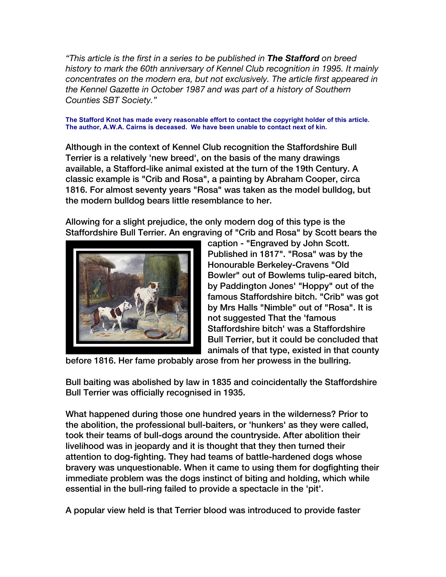*"This article is the first in a series to be published in The Stafford on breed history to mark the 60th anniversary of Kennel Club recognition in 1995. It mainly concentrates on the modern era, but not exclusively. The article first appeared in the Kennel Gazette in October 1987 and was part of a history of Southern Counties SBT Society."*

## **The Stafford Knot has made every reasonable effort to contact the copyright holder of this article. The author, A.W.A. Cairns is deceased. We have been unable to contact next of kin.**

Although in the context of Kennel Club recognition the Staffordshire Bull Terrier is a relatively 'new breed', on the basis of the many drawings available, a Stafford-like animal existed at the turn of the 19th Century. A classic example is "Crib and Rosa", a painting by Abraham Cooper, circa 1816. For almost seventy years "Rosa" was taken as the model bulldog, but the modern bulldog bears little resemblance to her.

Allowing for a slight prejudice, the only modern dog of this type is the Staffordshire Bull Terrier. An engraving of "Crib and Rosa" by Scott bears the



caption - "Engraved by John Scott. Published in 1817". "Rosa" was by the Honourable Berkeley-Cravens "Old Bowler" out of Bowlems tulip-eared bitch, by Paddington Jones' "Hoppy" out of the famous Staffordshire bitch. "Crib" was got by Mrs Halls "Nimble" out of "Rosa". It is not suggested That the 'famous Staffordshire bitch' was a Staffordshire Bull Terrier, but it could be concluded that animals of that type, existed in that county

before 1816. Her fame probably arose from her prowess in the bullring.

Bull baiting was abolished by law in 1835 and coincidentally the Staffordshire Bull Terrier was officially recognised in 1935.

What happened during those one hundred years in the wilderness? Prior to the abolition, the professional bull-baiters, or 'hunkers' as they were called, took their teams of bull-dogs around the countryside. After abolition their livelihood was in jeopardy and it is thought that they then turned their attention to dog-fighting. They had teams of battle-hardened dogs whose bravery was unquestionable. When it came to using them for dogfighting their immediate problem was the dogs instinct of biting and holding, which while essential in the bull-ring failed to provide a spectacle in the 'pit'.

A popular view held is that Terrier blood was introduced to provide faster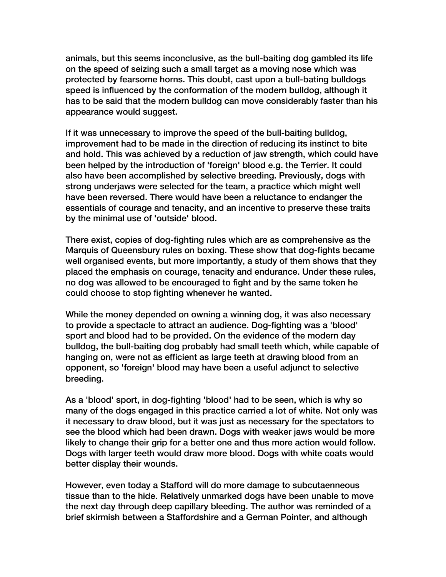animals, but this seems inconclusive, as the bull-baiting dog gambled its life on the speed of seizing such a small target as a moving nose which was protected by fearsome horns. This doubt, cast upon a bull-bating bulldogs speed is influenced by the conformation of the modern bulldog, although it has to be said that the modern bulldog can move considerably faster than his appearance would suggest.

If it was unnecessary to improve the speed of the bull-baiting bulldog, improvement had to be made in the direction of reducing its instinct to bite and hold. This was achieved by a reduction of jaw strength, which could have been helped by the introduction of 'foreign' blood e.g. the Terrier. It could also have been accomplished by selective breeding. Previously, dogs with strong underjaws were selected for the team, a practice which might well have been reversed. There would have been a reluctance to endanger the essentials of courage and tenacity, and an incentive to preserve these traits by the minimal use of 'outside' blood.

There exist, copies of dog-fighting rules which are as comprehensive as the Marquis of Queensbury rules on boxing. These show that dog-fights became well organised events, but more importantly, a study of them shows that they placed the emphasis on courage, tenacity and endurance. Under these rules, no dog was allowed to be encouraged to fight and by the same token he could choose to stop fighting whenever he wanted.

While the money depended on owning a winning dog, it was also necessary to provide a spectacle to attract an audience. Dog-fighting was a 'blood' sport and blood had to be provided. On the evidence of the modern day bulldog, the bull-baiting dog probably had small teeth which, while capable of hanging on, were not as efficient as large teeth at drawing blood from an opponent, so 'foreign' blood may have been a useful adjunct to selective breeding.

As a 'blood' sport, in dog-fighting 'blood' had to be seen, which is why so many of the dogs engaged in this practice carried a lot of white. Not only was it necessary to draw blood, but it was just as necessary for the spectators to see the blood which had been drawn. Dogs with weaker jaws would be more likely to change their grip for a better one and thus more action would follow. Dogs with larger teeth would draw more blood. Dogs with white coats would better display their wounds.

However, even today a Stafford will do more damage to subcutaenneous tissue than to the hide. Relatively unmarked dogs have been unable to move the next day through deep capillary bleeding. The author was reminded of a brief skirmish between a Staffordshire and a German Pointer, and although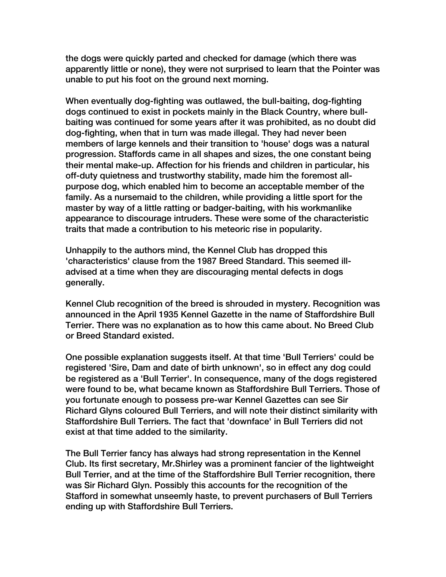the dogs were quickly parted and checked for damage (which there was apparently little or none), they were not surprised to learn that the Pointer was unable to put his foot on the ground next morning.

When eventually dog-fighting was outlawed, the bull-baiting, dog-fighting dogs continued to exist in pockets mainly in the Black Country, where bullbaiting was continued for some years after it was prohibited, as no doubt did dog-fighting, when that in turn was made illegal. They had never been members of large kennels and their transition to 'house' dogs was a natural progression. Staffords came in all shapes and sizes, the one constant being their mental make-up. Affection for his friends and children in particular, his off-duty quietness and trustworthy stability, made him the foremost allpurpose dog, which enabled him to become an acceptable member of the family. As a nursemaid to the children, while providing a little sport for the master by way of a little ratting or badger-baiting, with his workmanlike appearance to discourage intruders. These were some of the characteristic traits that made a contribution to his meteoric rise in popularity.

Unhappily to the authors mind, the Kennel Club has dropped this 'characteristics' clause from the 1987 Breed Standard. This seemed illadvised at a time when they are discouraging mental defects in dogs generally.

Kennel Club recognition of the breed is shrouded in mystery. Recognition was announced in the April 1935 Kennel Gazette in the name of Staffordshire Bull Terrier. There was no explanation as to how this came about. No Breed Club or Breed Standard existed.

One possible explanation suggests itself. At that time 'Bull Terriers' could be registered 'Sire, Dam and date of birth unknown', so in effect any dog could be registered as a 'Bull Terrier'. In consequence, many of the dogs registered were found to be, what became known as Staffordshire Bull Terriers. Those of you fortunate enough to possess pre-war Kennel Gazettes can see Sir Richard Glyns coloured Bull Terriers, and will note their distinct similarity with Staffordshire Bull Terriers. The fact that 'downface' in Bull Terriers did not exist at that time added to the similarity.

The Bull Terrier fancy has always had strong representation in the Kennel Club. Its first secretary, Mr.Shirley was a prominent fancier of the lightweight Bull Terrier, and at the time of the Staffordshire Bull Terrier recognition, there was Sir Richard Glyn. Possibly this accounts for the recognition of the Stafford in somewhat unseemly haste, to prevent purchasers of Bull Terriers ending up with Staffordshire Bull Terriers.